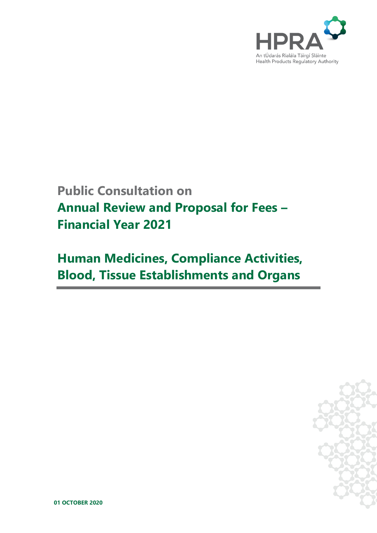

## **Public Consultation on Annual Review and Proposal for Fees – Financial Year 2021**

# **Human Medicines, Compliance Activities, Blood, Tissue Establishments and Organs**



**01 OCTOBER 2020**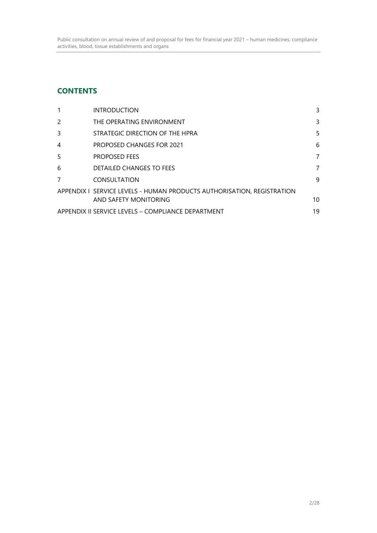## **CONTENTS**

| $\mathbf{1}$                                       | <b>INTRODUCTION</b>                                                    | 3  |
|----------------------------------------------------|------------------------------------------------------------------------|----|
| $\mathcal{P}$                                      | THE OPERATING ENVIRONMENT                                              | 3  |
| 3                                                  | STRATEGIC DIRECTION OF THE HPRA                                        | 5  |
| $\overline{4}$                                     | <b>PROPOSED CHANGES FOR 2021</b>                                       | 6  |
| 5                                                  | <b>PROPOSED FEES</b>                                                   | 7  |
| 6                                                  | DETAILED CHANGES TO FEES                                               | 7  |
| 7                                                  | <b>CONSULTATION</b>                                                    | 9  |
|                                                    | APPENDIX I SERVICE LEVELS - HUMAN PRODUCTS AUTHORISATION, REGISTRATION |    |
|                                                    | AND SAFETY MONITORING                                                  | 10 |
| APPENDIX II SERVICE LEVELS - COMPLIANCE DEPARTMENT |                                                                        |    |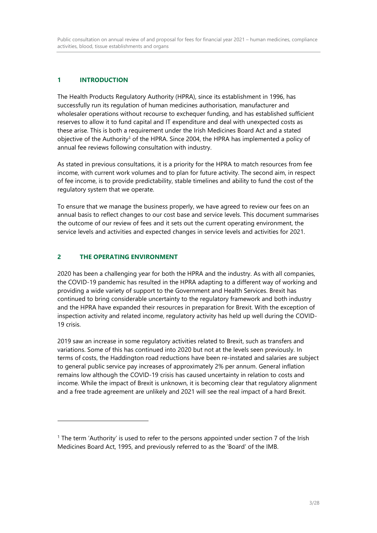## **1 INTRODUCTION**

The Health Products Regulatory Authority (HPRA), since its establishment in 1996, has successfully run its regulation of human medicines authorisation, manufacturer and wholesaler operations without recourse to exchequer funding, and has established sufficient reserves to allow it to fund capital and IT expenditure and deal with unexpected costs as these arise. This is both a requirement under the Irish Medicines Board Act and a stated objective of the Authority<sup>1</sup> of the HPRA. Since 2004, the HPRA has implemented a policy of annual fee reviews following consultation with industry.

As stated in previous consultations, it is a priority for the HPRA to match resources from fee income, with current work volumes and to plan for future activity. The second aim, in respect of fee income, is to provide predictability, stable timelines and ability to fund the cost of the regulatory system that we operate.

To ensure that we manage the business properly, we have agreed to review our fees on an annual basis to reflect changes to our cost base and service levels. This document summarises the outcome of our review of fees and it sets out the current operating environment, the service levels and activities and expected changes in service levels and activities for 2021.

## **2 THE OPERATING ENVIRONMENT**

 $\overline{a}$ 

2020 has been a challenging year for both the HPRA and the industry. As with all companies, the COVID-19 pandemic has resulted in the HPRA adapting to a different way of working and providing a wide variety of support to the Government and Health Services. Brexit has continued to bring considerable uncertainty to the regulatory framework and both industry and the HPRA have expanded their resources in preparation for Brexit. With the exception of inspection activity and related income, regulatory activity has held up well during the COVID-19 crisis.

2019 saw an increase in some regulatory activities related to Brexit, such as transfers and variations. Some of this has continued into 2020 but not at the levels seen previously. In terms of costs, the Haddington road reductions have been re-instated and salaries are subject to general public service pay increases of approximately 2% per annum. General inflation remains low although the COVID-19 crisis has caused uncertainty in relation to costs and income. While the impact of Brexit is unknown, it is becoming clear that regulatory alignment and a free trade agreement are unlikely and 2021 will see the real impact of a hard Brexit.

<sup>1</sup> The term 'Authority' is used to refer to the persons appointed under section 7 of the Irish Medicines Board Act, 1995, and previously referred to as the 'Board' of the IMB.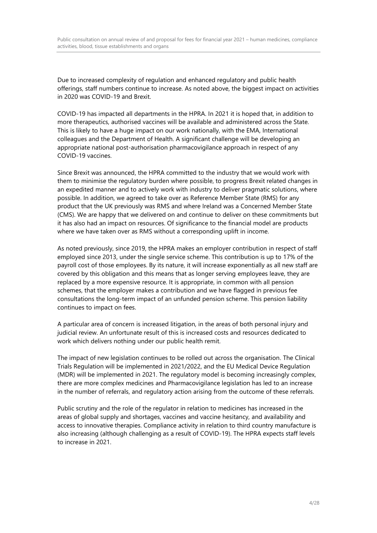Due to increased complexity of regulation and enhanced regulatory and public health offerings, staff numbers continue to increase. As noted above, the biggest impact on activities in 2020 was COVID-19 and Brexit.

COVID-19 has impacted all departments in the HPRA. In 2021 it is hoped that, in addition to more therapeutics, authorised vaccines will be available and administered across the State. This is likely to have a huge impact on our work nationally, with the EMA, International colleagues and the Department of Health. A significant challenge will be developing an appropriate national post-authorisation pharmacovigilance approach in respect of any COVID-19 vaccines.

Since Brexit was announced, the HPRA committed to the industry that we would work with them to minimise the regulatory burden where possible, to progress Brexit related changes in an expedited manner and to actively work with industry to deliver pragmatic solutions, where possible. In addition, we agreed to take over as Reference Member State (RMS) for any product that the UK previously was RMS and where Ireland was a Concerned Member State (CMS). We are happy that we delivered on and continue to deliver on these commitments but it has also had an impact on resources. Of significance to the financial model are products where we have taken over as RMS without a corresponding uplift in income.

As noted previously, since 2019, the HPRA makes an employer contribution in respect of staff employed since 2013, under the single service scheme. This contribution is up to 17% of the payroll cost of those employees. By its nature, it will increase exponentially as all new staff are covered by this obligation and this means that as longer serving employees leave, they are replaced by a more expensive resource. It is appropriate, in common with all pension schemes, that the employer makes a contribution and we have flagged in previous fee consultations the long-term impact of an unfunded pension scheme. This pension liability continues to impact on fees.

A particular area of concern is increased litigation, in the areas of both personal injury and judicial review. An unfortunate result of this is increased costs and resources dedicated to work which delivers nothing under our public health remit.

The impact of new legislation continues to be rolled out across the organisation. The Clinical Trials Regulation will be implemented in 2021/2022, and the EU Medical Device Regulation (MDR) will be implemented in 2021. The regulatory model is becoming increasingly complex, there are more complex medicines and Pharmacovigilance legislation has led to an increase in the number of referrals, and regulatory action arising from the outcome of these referrals.

Public scrutiny and the role of the regulator in relation to medicines has increased in the areas of global supply and shortages, vaccines and vaccine hesitancy, and availability and access to innovative therapies. Compliance activity in relation to third country manufacture is also increasing (although challenging as a result of COVID-19). The HPRA expects staff levels to increase in 2021.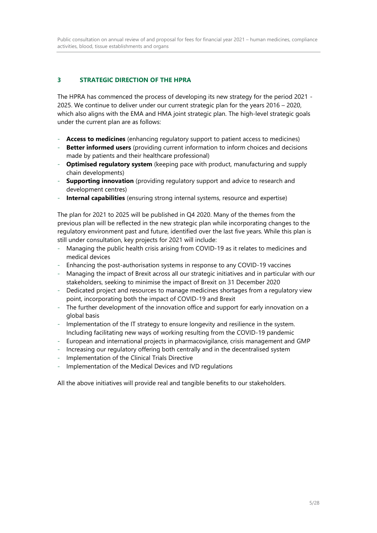## **3 STRATEGIC DIRECTION OF THE HPRA**

The HPRA has commenced the process of developing its new strategy for the period 2021 - 2025. We continue to deliver under our current strategic plan for the years 2016 – 2020, which also aligns with the EMA and HMA joint strategic plan. The high-level strategic goals under the current plan are as follows:

- **Access to medicines** (enhancing regulatory support to patient access to medicines)
- **Better informed users** (providing current information to inform choices and decisions made by patients and their healthcare professional)
- **Optimised regulatory system** (keeping pace with product, manufacturing and supply chain developments)
- **Supporting innovation** (providing regulatory support and advice to research and development centres)
- **Internal capabilities** (ensuring strong internal systems, resource and expertise)

The plan for 2021 to 2025 will be published in Q4 2020. Many of the themes from the previous plan will be reflected in the new strategic plan while incorporating changes to the regulatory environment past and future, identified over the last five years. While this plan is still under consultation, key projects for 2021 will include:

- Managing the public health crisis arising from COVID-19 as it relates to medicines and medical devices
- Enhancing the post-authorisation systems in response to any COVID-19 vaccines
- Managing the impact of Brexit across all our strategic initiatives and in particular with our stakeholders, seeking to minimise the impact of Brexit on 31 December 2020
- Dedicated project and resources to manage medicines shortages from a regulatory view point, incorporating both the impact of COVID-19 and Brexit
- The further development of the innovation office and support for early innovation on a global basis
- Implementation of the IT strategy to ensure longevity and resilience in the system. Including facilitating new ways of working resulting from the COVID-19 pandemic
- European and international projects in pharmacovigilance, crisis management and GMP
- Increasing our regulatory offering both centrally and in the decentralised system
- Implementation of the Clinical Trials Directive
- Implementation of the Medical Devices and IVD regulations

All the above initiatives will provide real and tangible benefits to our stakeholders.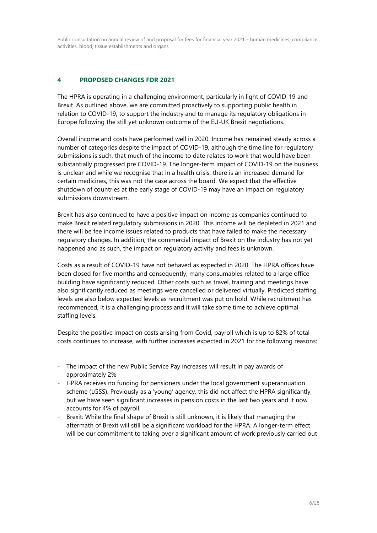## **4 PROPOSED CHANGES FOR 2021**

The HPRA is operating in a challenging environment, particularly in light of COVID-19 and Brexit. As outlined above, we are committed proactively to supporting public health in relation to COVID-19, to support the industry and to manage its regulatory obligations in Europe following the still yet unknown outcome of the EU-UK Brexit negotiations.

Overall income and costs have performed well in 2020. Income has remained steady across a number of categories despite the impact of COVID-19, although the time line for regulatory submissions is such, that much of the income to date relates to work that would have been substantially progressed pre COVID-19. The longer-term impact of COVID-19 on the business is unclear and while we recognise that in a health crisis, there is an increased demand for certain medicines, this was not the case across the board. We expect that the effective shutdown of countries at the early stage of COVID-19 may have an impact on regulatory submissions downstream.

Brexit has also continued to have a positive impact on income as companies continued to make Brexit related regulatory submissions in 2020. This income will be depleted in 2021 and there will be fee income issues related to products that have failed to make the necessary regulatory changes. In addition, the commercial impact of Brexit on the industry has not yet happened and as such, the impact on regulatory activity and fees is unknown.

Costs as a result of COVID-19 have not behaved as expected in 2020. The HPRA offices have been closed for five months and consequently, many consumables related to a large office building have significantly reduced. Other costs such as travel, training and meetings have also significantly reduced as meetings were cancelled or delivered virtually. Predicted staffing levels are also below expected levels as recruitment was put on hold. While recruitment has recommenced, it is a challenging process and it will take some time to achieve optimal staffing levels.

Despite the positive impact on costs arising from Covid, payroll which is up to 82% of total costs continues to increase, with further increases expected in 2021 for the following reasons:

- The impact of the new Public Service Pay increases will result in pay awards of approximately 2%
- HPRA receives no funding for pensioners under the local government superannuation scheme (LGSS). Previously as a 'young' agency, this did not affect the HPRA significantly, but we have seen significant increases in pension costs in the last two years and it now accounts for 4% of payroll.
- Brexit: While the final shape of Brexit is still unknown, it is likely that managing the aftermath of Brexit will still be a significant workload for the HPRA. A longer-term effect will be our commitment to taking over a significant amount of work previously carried out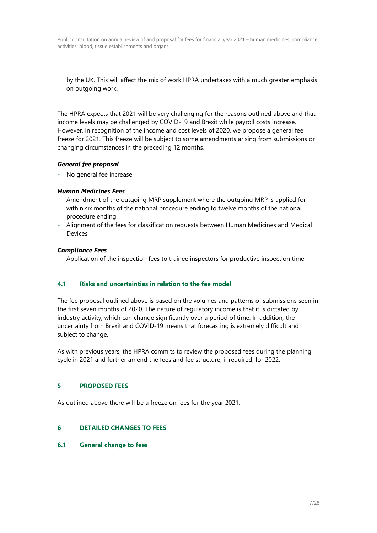by the UK. This will affect the mix of work HPRA undertakes with a much greater emphasis on outgoing work.

The HPRA expects that 2021 will be very challenging for the reasons outlined above and that income levels may be challenged by COVID-19 and Brexit while payroll costs increase. However, in recognition of the income and cost levels of 2020, we propose a general fee freeze for 2021. This freeze will be subject to some amendments arising from submissions or changing circumstances in the preceding 12 months.

## *General fee proposal*

- No general fee increase

#### *Human Medicines Fees*

- Amendment of the outgoing MRP supplement where the outgoing MRP is applied for within six months of the national procedure ending to twelve months of the national procedure ending.
- Alignment of the fees for classification requests between Human Medicines and Medical Devices

## *Compliance Fees*

- Application of the inspection fees to trainee inspectors for productive inspection time

## **4.1 Risks and uncertainties in relation to the fee model**

The fee proposal outlined above is based on the volumes and patterns of submissions seen in the first seven months of 2020. The nature of regulatory income is that it is dictated by industry activity, which can change significantly over a period of time. In addition, the uncertainty from Brexit and COVID-19 means that forecasting is extremely difficult and subject to change.

As with previous years, the HPRA commits to review the proposed fees during the planning cycle in 2021 and further amend the fees and fee structure, if required, for 2022.

#### **5 PROPOSED FEES**

As outlined above there will be a freeze on fees for the year 2021.

## **6 DETAILED CHANGES TO FEES**

#### **6.1 General change to fees**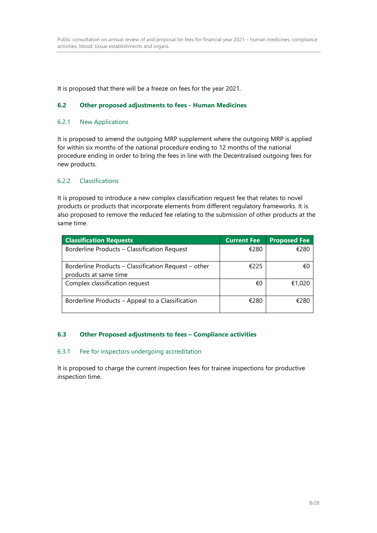It is proposed that there will be a freeze on fees for the year 2021.

#### **6.2 Other proposed adjustments to fees - Human Medicines**

#### 6.2.1 New Applications

It is proposed to amend the outgoing MRP supplement where the outgoing MRP is applied for within six months of the national procedure ending to 12 months of the national procedure ending in order to bring the fees in line with the Decentralised outgoing fees for new products.

#### 6.2.2 Classifications

It is proposed to introduce a new complex classification request fee that relates to novel products or products that incorporate elements from different regulatory frameworks. It is also proposed to remove the reduced fee relating to the submission of other products at the same time.

| <b>Classification Requests</b>                                                | <b>Current Fee</b> | <b>Proposed Fee</b> |
|-------------------------------------------------------------------------------|--------------------|---------------------|
| Borderline Products - Classification Request                                  | €280               | €280                |
| Borderline Products – Classification Request – other<br>products at same time | €225               | €0                  |
| Complex classification request                                                | €0                 | €1,020              |
| Borderline Products – Appeal to a Classification                              | €280               | €280                |

#### **6.3 Other Proposed adjustments to fees – Compliance activities**

#### 6.3.1 Fee for inspectors undergoing accreditation

It is proposed to charge the current inspection fees for trainee inspections for productive inspection time.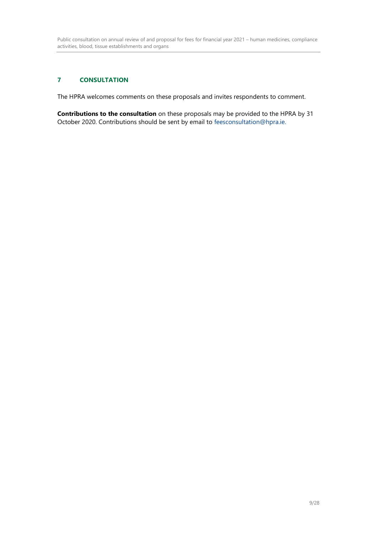## **7 CONSULTATION**

The HPRA welcomes comments on these proposals and invites respondents to comment.

**Contributions to the consultation** on these proposals may be provided to the HPRA by 31 October 2020. Contributions should be sent by email to [feesconsultation@hpra.ie.](mailto:feesconsultation@hpra.ie)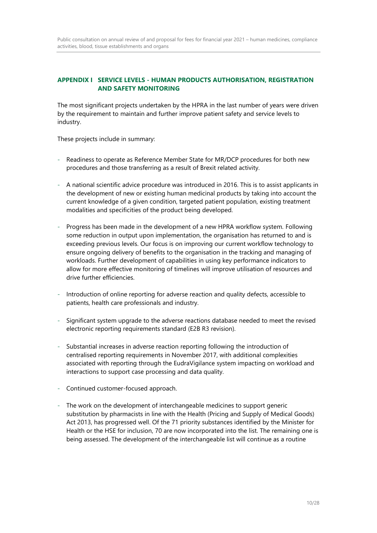## **APPENDIX I SERVICE LEVELS - HUMAN PRODUCTS AUTHORISATION, REGISTRATION AND SAFETY MONITORING**

The most significant projects undertaken by the HPRA in the last number of years were driven by the requirement to maintain and further improve patient safety and service levels to industry.

These projects include in summary:

- Readiness to operate as Reference Member State for MR/DCP procedures for both new procedures and those transferring as a result of Brexit related activity.
- A national scientific advice procedure was introduced in 2016. This is to assist applicants in the development of new or existing human medicinal products by taking into account the current knowledge of a given condition, targeted patient population, existing treatment modalities and specificities of the product being developed.
- Progress has been made in the development of a new HPRA workflow system. Following some reduction in output upon implementation, the organisation has returned to and is exceeding previous levels. Our focus is on improving our current workflow technology to ensure ongoing delivery of benefits to the organisation in the tracking and managing of workloads. Further development of capabilities in using key performance indicators to allow for more effective monitoring of timelines will improve utilisation of resources and drive further efficiencies.
- Introduction of online reporting for adverse reaction and quality defects, accessible to patients, health care professionals and industry.
- Significant system upgrade to the adverse reactions database needed to meet the revised electronic reporting requirements standard (E2B R3 revision).
- Substantial increases in adverse reaction reporting following the introduction of centralised reporting requirements in November 2017, with additional complexities associated with reporting through the EudraVigilance system impacting on workload and interactions to support case processing and data quality.
- Continued customer-focused approach.
- The work on the development of interchangeable medicines to support generic substitution by pharmacists in line with the Health (Pricing and Supply of Medical Goods) Act 2013, has progressed well. Of the 71 priority substances identified by the Minister for Health or the HSE for inclusion, 70 are now incorporated into the list. The remaining one is being assessed. The development of the interchangeable list will continue as a routine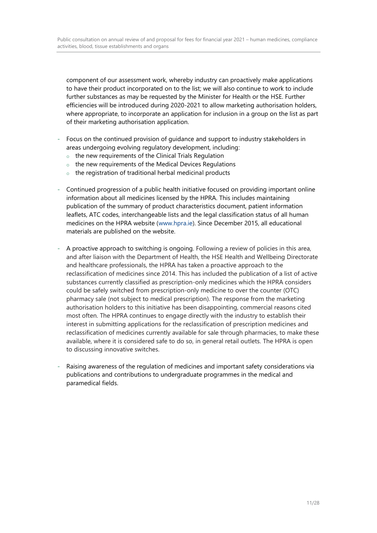component of our assessment work, whereby industry can proactively make applications to have their product incorporated on to the list; we will also continue to work to include further substances as may be requested by the Minister for Health or the HSE. Further efficiencies will be introduced during 2020-2021 to allow marketing authorisation holders, where appropriate, to incorporate an application for inclusion in a group on the list as part of their marketing authorisation application.

- Focus on the continued provision of guidance and support to industry stakeholders in areas undergoing evolving regulatory development, including:
	- o the new requirements of the Clinical Trials Regulation
	- $\circ$  the new requirements of the Medical Devices Regulations
	- o the registration of traditional herbal medicinal products
- Continued progression of a public health initiative focused on providing important online information about all medicines licensed by the HPRA. This includes maintaining publication of the summary of product characteristics document, patient information leaflets, ATC codes, interchangeable lists and the legal classification status of all human medicines on the HPRA website [\(www.hpra.ie\)](http://www.hpra.ie/). Since December 2015, all educational materials are published on the website.
- A proactive approach to switching is ongoing. Following a review of policies in this area, and after liaison with the Department of Health, the HSE Health and Wellbeing Directorate and healthcare professionals, the HPRA has taken a proactive approach to the reclassification of medicines since 2014. This has included the publication of a list of active substances currently classified as prescription-only medicines which the HPRA considers could be safely switched from prescription-only medicine to over the counter (OTC) pharmacy sale (not subject to medical prescription). The response from the marketing authorisation holders to this initiative has been disappointing, commercial reasons cited most often. The HPRA continues to engage directly with the industry to establish their interest in submitting applications for the reclassification of prescription medicines and reclassification of medicines currently available for sale through pharmacies, to make these available, where it is considered safe to do so, in general retail outlets. The HPRA is open to discussing innovative switches.
- Raising awareness of the regulation of medicines and important safety considerations via publications and contributions to undergraduate programmes in the medical and paramedical fields.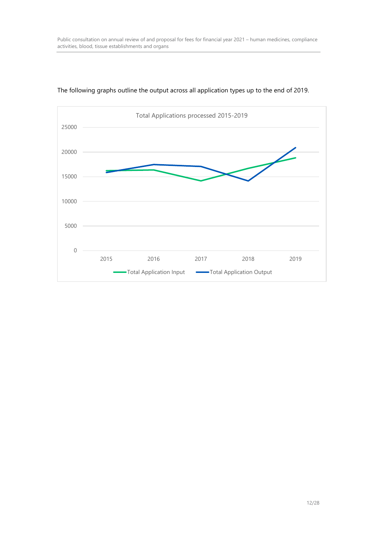

## The following graphs outline the output across all application types up to the end of 2019.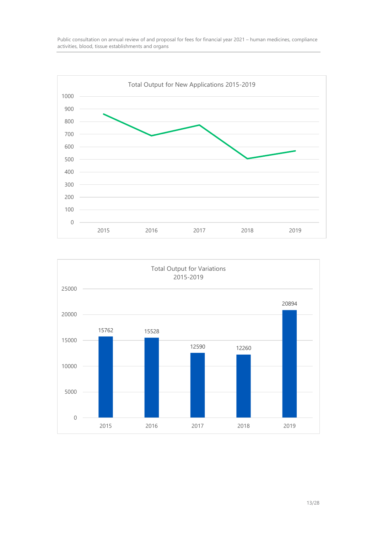



13/28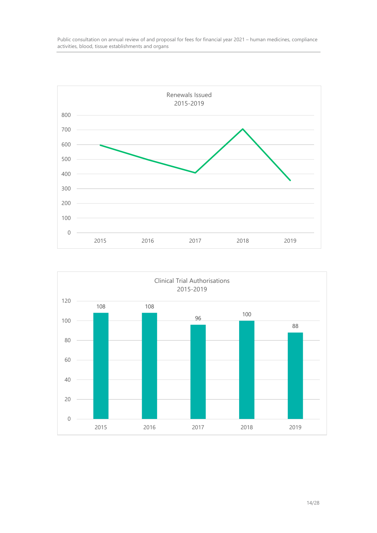

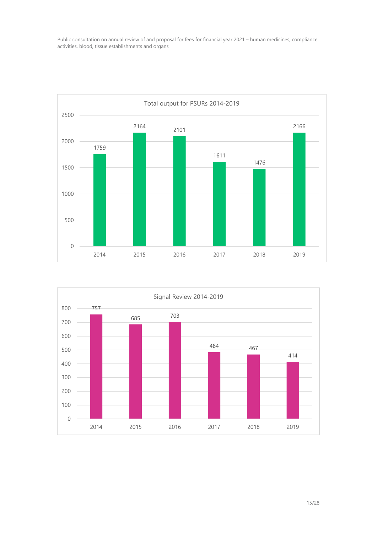

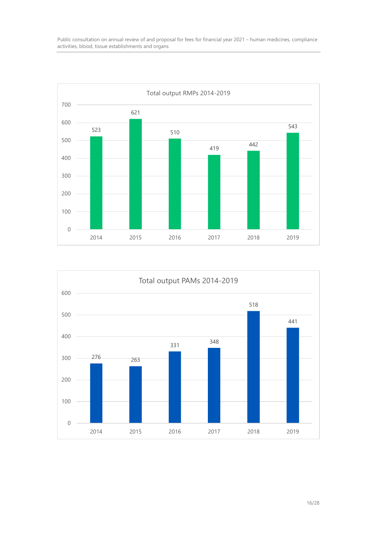

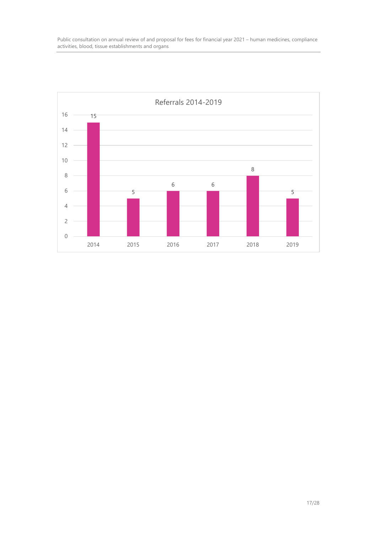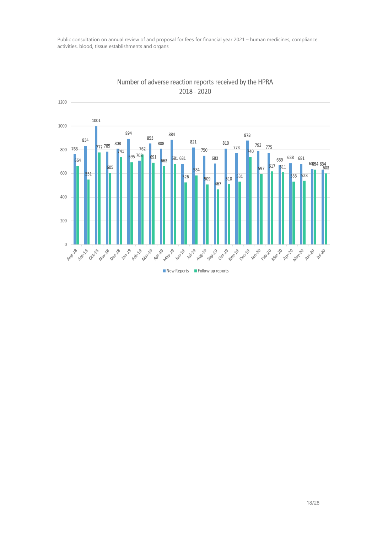

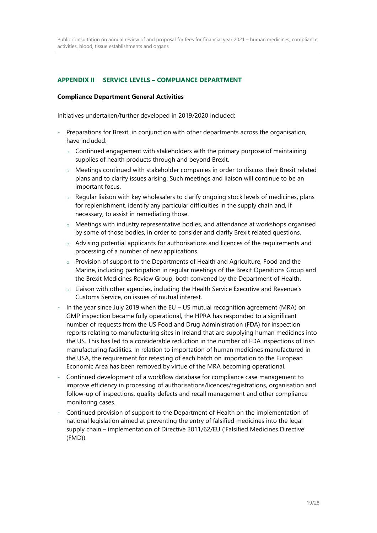## **APPENDIX II SERVICE LEVELS – COMPLIANCE DEPARTMENT**

#### **Compliance Department General Activities**

Initiatives undertaken/further developed in 2019/2020 included:

- Preparations for Brexit, in conjunction with other departments across the organisation, have included:
	- $\circ$  Continued engagement with stakeholders with the primary purpose of maintaining supplies of health products through and beyond Brexit.
	- $\circ$  Meetings continued with stakeholder companies in order to discuss their Brexit related plans and to clarify issues arising. Such meetings and liaison will continue to be an important focus.
	- $\circ$  Regular liaison with key wholesalers to clarify ongoing stock levels of medicines, plans for replenishment, identify any particular difficulties in the supply chain and, if necessary, to assist in remediating those.
	- $\circ$  Meetings with industry representative bodies, and attendance at workshops organised by some of those bodies, in order to consider and clarify Brexit related questions.
	- $\circ$  Advising potential applicants for authorisations and licences of the requirements and processing of a number of new applications.
	- $\circ$  Provision of support to the Departments of Health and Agriculture, Food and the Marine, including participation in regular meetings of the Brexit Operations Group and the Brexit Medicines Review Group, both convened by the Department of Health.
	- $\circ$  Liaison with other agencies, including the Health Service Executive and Revenue's Customs Service, on issues of mutual interest.
- In the year since July 2019 when the EU US mutual recognition agreement (MRA) on GMP inspection became fully operational, the HPRA has responded to a significant number of requests from the US Food and Drug Administration (FDA) for inspection reports relating to manufacturing sites in Ireland that are supplying human medicines into the US. This has led to a considerable reduction in the number of FDA inspections of Irish manufacturing facilities. In relation to importation of human medicines manufactured in the USA, the requirement for retesting of each batch on importation to the European Economic Area has been removed by virtue of the MRA becoming operational.
- Continued development of a workflow database for compliance case management to improve efficiency in processing of authorisations/licences/registrations, organisation and follow-up of inspections, quality defects and recall management and other compliance monitoring cases.
- Continued provision of support to the Department of Health on the implementation of national legislation aimed at preventing the entry of falsified medicines into the legal supply chain – implementation of Directive 2011/62/EU ('Falsified Medicines Directive' (FMD)).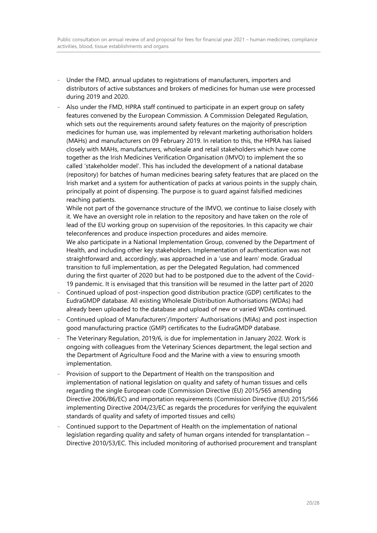- Under the FMD, annual updates to registrations of manufacturers, importers and distributors of active substances and brokers of medicines for human use were processed during 2019 and 2020.
- Also under the FMD, HPRA staff continued to participate in an expert group on safety features convened by the European Commission. A Commission Delegated Regulation, which sets out the requirements around safety features on the majority of prescription medicines for human use, was implemented by relevant marketing authorisation holders (MAHs) and manufacturers on 09 February 2019. In relation to this, the HPRA has liaised closely with MAHs, manufacturers, wholesale and retail stakeholders which have come together as the Irish Medicines Verification Organisation (IMVO) to implement the so called 'stakeholder model'. This has included the development of a national database (repository) for batches of human medicines bearing safety features that are placed on the Irish market and a system for authentication of packs at various points in the supply chain, principally at point of dispensing. The purpose is to guard against falsified medicines reaching patients.

While not part of the governance structure of the IMVO, we continue to liaise closely with it. We have an oversight role in relation to the repository and have taken on the role of lead of the EU working group on supervision of the repositories. In this capacity we chair teleconferences and produce inspection procedures and aides memoire. We also participate in a National Implementation Group, convened by the Department of Health, and including other key stakeholders. Implementation of authentication was not straightforward and, accordingly, was approached in a 'use and learn' mode. Gradual transition to full implementation, as per the Delegated Regulation, had commenced during the first quarter of 2020 but had to be postponed due to the advent of the Covid-19 pandemic. It is envisaged that this transition will be resumed in the latter part of 2020

- Continued upload of post-inspection good distribution practice (GDP) certificates to the EudraGMDP database. All existing Wholesale Distribution Authorisations (WDAs) had already been uploaded to the database and upload of new or varied WDAs continued.
- Continued upload of Manufacturers'/Importers' Authorisations (MIAs) and post inspection good manufacturing practice (GMP) certificates to the EudraGMDP database.
- The Veterinary Regulation, 2019/6, is due for implementation in January 2022. Work is ongoing with colleagues from the Veterinary Sciences department, the legal section and the Department of Agriculture Food and the Marine with a view to ensuring smooth implementation.
- Provision of support to the Department of Health on the transposition and implementation of national legislation on quality and safety of human tissues and cells regarding the single European code (Commission Directive (EU) 2015/565 amending Directive 2006/86/EC) and importation requirements (Commission Directive (EU) 2015/566 implementing Directive 2004/23/EC as regards the procedures for verifying the equivalent standards of quality and safety of imported tissues and cells)
- Continued support to the Department of Health on the implementation of national legislation regarding quality and safety of human organs intended for transplantation – Directive 2010/53/EC. This included monitoring of authorised procurement and transplant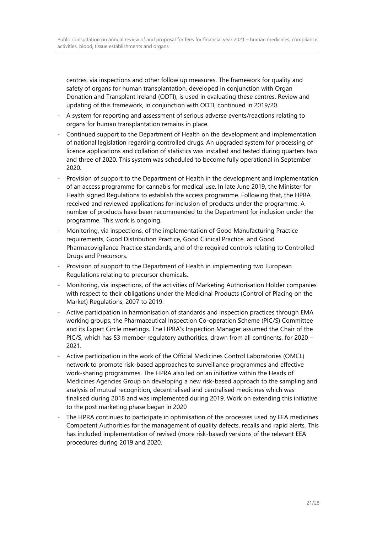centres, via inspections and other follow up measures. The framework for quality and safety of organs for human transplantation, developed in conjunction with Organ Donation and Transplant Ireland (ODTI), is used in evaluating these centres. Review and updating of this framework, in conjunction with ODTI, continued in 2019/20.

- A system for reporting and assessment of serious adverse events/reactions relating to organs for human transplantation remains in place.
- Continued support to the Department of Health on the development and implementation of national legislation regarding controlled drugs. An upgraded system for processing of licence applications and collation of statistics was installed and tested during quarters two and three of 2020. This system was scheduled to become fully operational in September 2020.
- Provision of support to the Department of Health in the development and implementation of an access programme for cannabis for medical use. In late June 2019, the Minister for Health signed Regulations to establish the access programme. Following that, the HPRA received and reviewed applications for inclusion of products under the programme. A number of products have been recommended to the Department for inclusion under the programme. This work is ongoing.
- Monitoring, via inspections, of the implementation of Good Manufacturing Practice requirements, Good Distribution Practice, Good Clinical Practice, and Good Pharmacovigilance Practice standards, and of the required controls relating to Controlled Drugs and Precursors.
- Provision of support to the Department of Health in implementing two European Regulations relating to precursor chemicals.
- Monitoring, via inspections, of the activities of Marketing Authorisation Holder companies with respect to their obligations under the Medicinal Products (Control of Placing on the Market) Regulations, 2007 to 2019.
- Active participation in harmonisation of standards and inspection practices through EMA working groups, the Pharmaceutical Inspection Co-operation Scheme (PIC/S) Committee and its Expert Circle meetings. The HPRA's Inspection Manager assumed the Chair of the PIC/S, which has 53 member regulatory authorities, drawn from all continents, for 2020 – 2021.
- Active participation in the work of the Official Medicines Control Laboratories (OMCL) network to promote risk-based approaches to surveillance programmes and effective work-sharing programmes. The HPRA also led on an initiative within the Heads of Medicines Agencies Group on developing a new risk-based approach to the sampling and analysis of mutual recognition, decentralised and centralised medicines which was finalised during 2018 and was implemented during 2019. Work on extending this initiative to the post marketing phase began in 2020
- The HPRA continues to participate in optimisation of the processes used by EEA medicines Competent Authorities for the management of quality defects, recalls and rapid alerts. This has included implementation of revised (more risk-based) versions of the relevant EEA procedures during 2019 and 2020.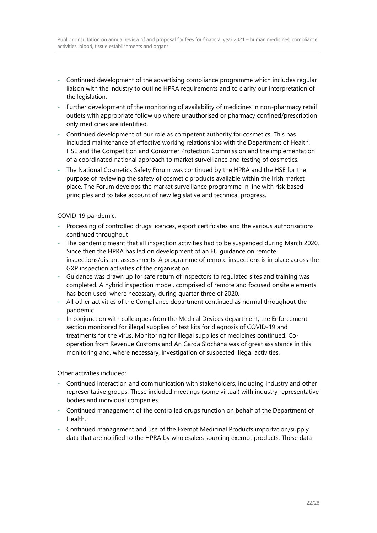- Continued development of the advertising compliance programme which includes regular liaison with the industry to outline HPRA requirements and to clarify our interpretation of the legislation.
- Further development of the monitoring of availability of medicines in non-pharmacy retail outlets with appropriate follow up where unauthorised or pharmacy confined/prescription only medicines are identified.
- Continued development of our role as competent authority for cosmetics. This has included maintenance of effective working relationships with the Department of Health, HSE and the Competition and Consumer Protection Commission and the implementation of a coordinated national approach to market surveillance and testing of cosmetics.
- The National Cosmetics Safety Forum was continued by the HPRA and the HSE for the purpose of reviewing the safety of cosmetic products available within the Irish market place. The Forum develops the market surveillance programme in line with risk based principles and to take account of new legislative and technical progress.

#### COVID-19 pandemic:

- Processing of controlled drugs licences, export certificates and the various authorisations continued throughout
- The pandemic meant that all inspection activities had to be suspended during March 2020. Since then the HPRA has led on development of an EU guidance on remote inspections/distant assessments. A programme of remote inspections is in place across the GXP inspection activities of the organisation
- Guidance was drawn up for safe return of inspectors to regulated sites and training was completed. A hybrid inspection model, comprised of remote and focused onsite elements has been used, where necessary, during quarter three of 2020.
- All other activities of the Compliance department continued as normal throughout the pandemic
- In conjunction with colleagues from the Medical Devices department, the Enforcement section monitored for illegal supplies of test kits for diagnosis of COVID-19 and treatments for the virus. Monitoring for illegal supplies of medicines continued. Cooperation from Revenue Customs and An Garda Síochána was of great assistance in this monitoring and, where necessary, investigation of suspected illegal activities.

#### Other activities included:

- Continued interaction and communication with stakeholders, including industry and other representative groups. These included meetings (some virtual) with industry representative bodies and individual companies.
- Continued management of the controlled drugs function on behalf of the Department of Health.
- Continued management and use of the Exempt Medicinal Products importation/supply data that are notified to the HPRA by wholesalers sourcing exempt products. These data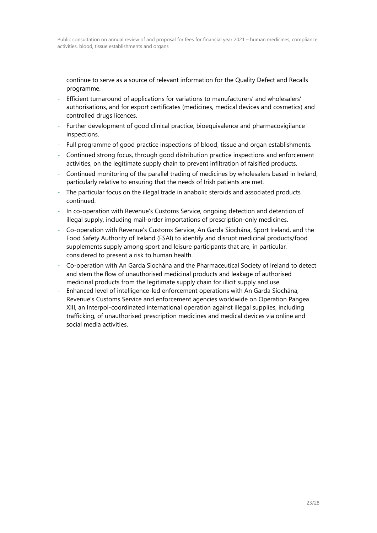continue to serve as a source of relevant information for the Quality Defect and Recalls programme.

- Efficient turnaround of applications for variations to manufacturers' and wholesalers' authorisations, and for export certificates (medicines, medical devices and cosmetics) and controlled drugs licences.
- Further development of good clinical practice, bioequivalence and pharmacovigilance inspections.
- Full programme of good practice inspections of blood, tissue and organ establishments.
- Continued strong focus, through good distribution practice inspections and enforcement activities, on the legitimate supply chain to prevent infiltration of falsified products.
- Continued monitoring of the parallel trading of medicines by wholesalers based in Ireland, particularly relative to ensuring that the needs of Irish patients are met.
- The particular focus on the illegal trade in anabolic steroids and associated products continued.
- In co-operation with Revenue's Customs Service, ongoing detection and detention of illegal supply, including mail-order importations of prescription-only medicines.
- Co-operation with Revenue's Customs Service, An Garda Síochána, Sport Ireland, and the Food Safety Authority of Ireland (FSAI) to identify and disrupt medicinal products/food supplements supply among sport and leisure participants that are, in particular, considered to present a risk to human health.
- Co-operation with An Garda Síochána and the Pharmaceutical Society of Ireland to detect and stem the flow of unauthorised medicinal products and leakage of authorised medicinal products from the legitimate supply chain for illicit supply and use.
- Enhanced level of intelligence-led enforcement operations with An Garda Síochána, Revenue's Customs Service and enforcement agencies worldwide on Operation Pangea XIII, an Interpol-coordinated international operation against illegal supplies, including trafficking, of unauthorised prescription medicines and medical devices via online and social media activities.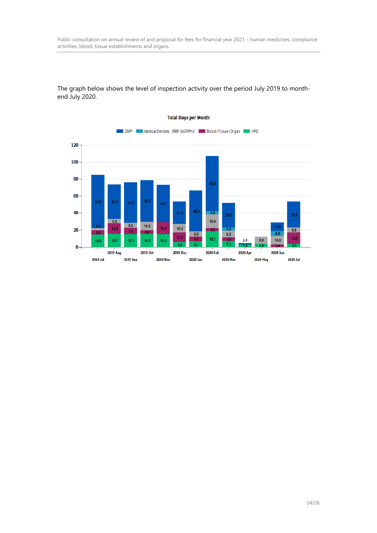

The graph below shows the level of inspection activity over the period July 2019 to monthend July 2020.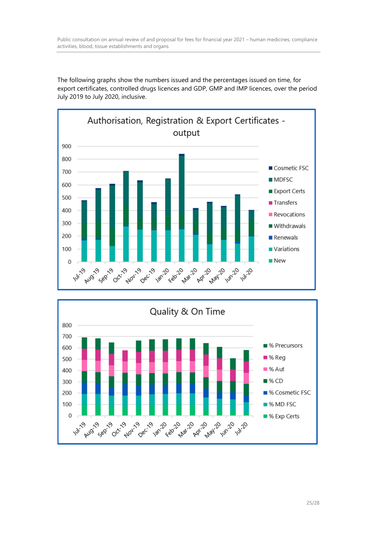The following graphs show the numbers issued and the percentages issued on time, for export certificates, controlled drugs licences and GDP, GMP and IMP licences, over the period July 2019 to July 2020, inclusive.



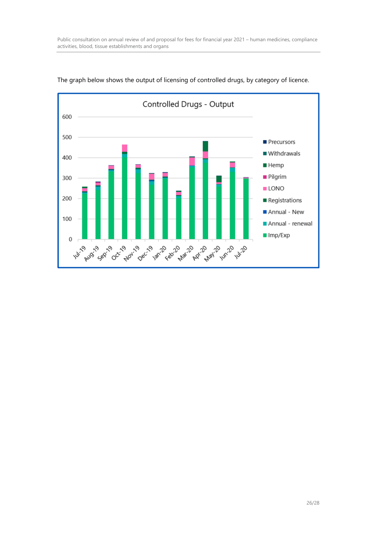

The graph below shows the output of licensing of controlled drugs, by category of licence.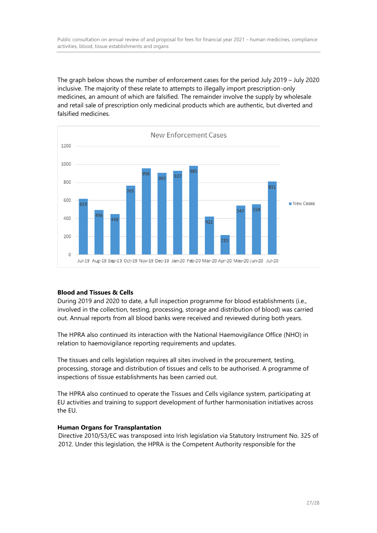The graph below shows the number of enforcement cases for the period July 2019 – July 2020 inclusive. The majority of these relate to attempts to illegally import prescription-only medicines, an amount of which are falsified. The remainder involve the supply by wholesale and retail sale of prescription only medicinal products which are authentic, but diverted and falsified medicines.



## **Blood and Tissues & Cells**

During 2019 and 2020 to date, a full inspection programme for blood establishments (i.e., involved in the collection, testing, processing, storage and distribution of blood) was carried out. Annual reports from all blood banks were received and reviewed during both years.

The HPRA also continued its interaction with the National Haemovigilance Office (NHO) in relation to haemovigilance reporting requirements and updates.

The tissues and cells legislation requires all sites involved in the procurement, testing, processing, storage and distribution of tissues and cells to be authorised. A programme of inspections of tissue establishments has been carried out.

The HPRA also continued to operate the Tissues and Cells vigilance system, participating at EU activities and training to support development of further harmonisation initiatives across the EU.

#### **Human Organs for Transplantation**

Directive 2010/53/EC was transposed into Irish legislation via Statutory Instrument No. 325 of 2012. Under this legislation, the HPRA is the Competent Authority responsible for the